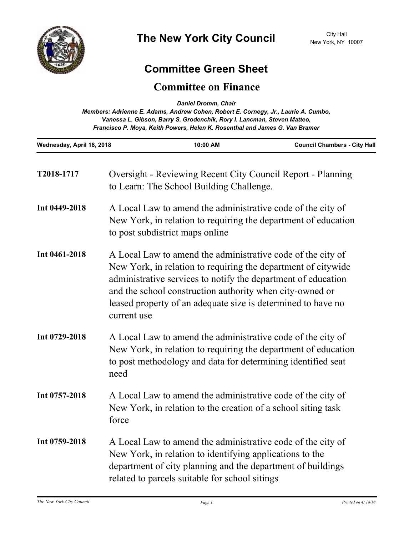

## **Committee Green Sheet**

## **Committee on Finance**

*Daniel Dromm, Chair*

| Vanessa L. Gibson, Barry S. Grodenchik, Rory I. Lancman, Steven Matteo,<br>Francisco P. Moya, Keith Powers, Helen K. Rosenthal and James G. Van Bramer |                                                                                                                                                                                                                                          |                                                          |                                                                                                                                                                                                                                                               |
|--------------------------------------------------------------------------------------------------------------------------------------------------------|------------------------------------------------------------------------------------------------------------------------------------------------------------------------------------------------------------------------------------------|----------------------------------------------------------|---------------------------------------------------------------------------------------------------------------------------------------------------------------------------------------------------------------------------------------------------------------|
| Wednesday, April 18, 2018                                                                                                                              |                                                                                                                                                                                                                                          | 10:00 AM                                                 | <b>Council Chambers - City Hall</b>                                                                                                                                                                                                                           |
| T2018-1717                                                                                                                                             |                                                                                                                                                                                                                                          | to Learn: The School Building Challenge.                 | <b>Oversight - Reviewing Recent City Council Report - Planning</b>                                                                                                                                                                                            |
| Int 0449-2018                                                                                                                                          | A Local Law to amend the administrative code of the city of<br>New York, in relation to requiring the department of education<br>to post subdistrict maps online                                                                         |                                                          |                                                                                                                                                                                                                                                               |
| Int 0461-2018                                                                                                                                          | current use                                                                                                                                                                                                                              | and the school construction authority when city-owned or | A Local Law to amend the administrative code of the city of<br>New York, in relation to requiring the department of citywide<br>administrative services to notify the department of education<br>leased property of an adequate size is determined to have no |
| Int 0729-2018                                                                                                                                          | A Local Law to amend the administrative code of the city of<br>New York, in relation to requiring the department of education<br>to post methodology and data for determining identified seat<br>need                                    |                                                          |                                                                                                                                                                                                                                                               |
| Int 0757-2018                                                                                                                                          | A Local Law to amend the administrative code of the city of<br>New York, in relation to the creation of a school siting task<br>force                                                                                                    |                                                          |                                                                                                                                                                                                                                                               |
| Int 0759-2018                                                                                                                                          | A Local Law to amend the administrative code of the city of<br>New York, in relation to identifying applications to the<br>department of city planning and the department of buildings<br>related to parcels suitable for school sitings |                                                          |                                                                                                                                                                                                                                                               |